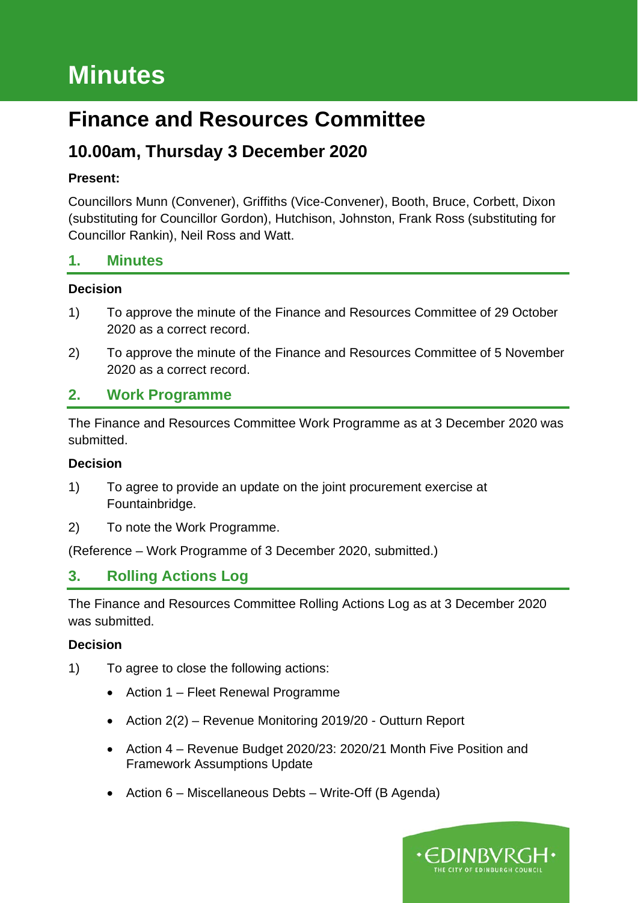# **Minutes**

## **Finance and Resources Committee**

## **10.00am, Thursday 3 December 2020**

#### **Present:**

Councillors Munn (Convener), Griffiths (Vice-Convener), Booth, Bruce, Corbett, Dixon (substituting for Councillor Gordon), Hutchison, Johnston, Frank Ross (substituting for Councillor Rankin), Neil Ross and Watt.

#### **1. Minutes**

#### **Decision**

- 1) To approve the minute of the Finance and Resources Committee of 29 October 2020 as a correct record.
- 2) To approve the minute of the Finance and Resources Committee of 5 November 2020 as a correct record.

## **2. Work Programme**

The Finance and Resources Committee Work Programme as at 3 December 2020 was submitted.

#### **Decision**

- 1) To agree to provide an update on the joint procurement exercise at Fountainbridge.
- 2) To note the Work Programme.

(Reference – Work Programme of 3 December 2020, submitted.)

## **3. Rolling Actions Log**

The Finance and Resources Committee Rolling Actions Log as at 3 December 2020 was submitted.

- 1) To agree to close the following actions:
	- Action 1 Fleet Renewal Programme
	- Action 2(2) Revenue Monitoring 2019/20 Outturn Report
	- Action 4 Revenue Budget 2020/23: 2020/21 Month Five Position and Framework Assumptions Update
	- Action 6 Miscellaneous Debts Write-Off (B Agenda)

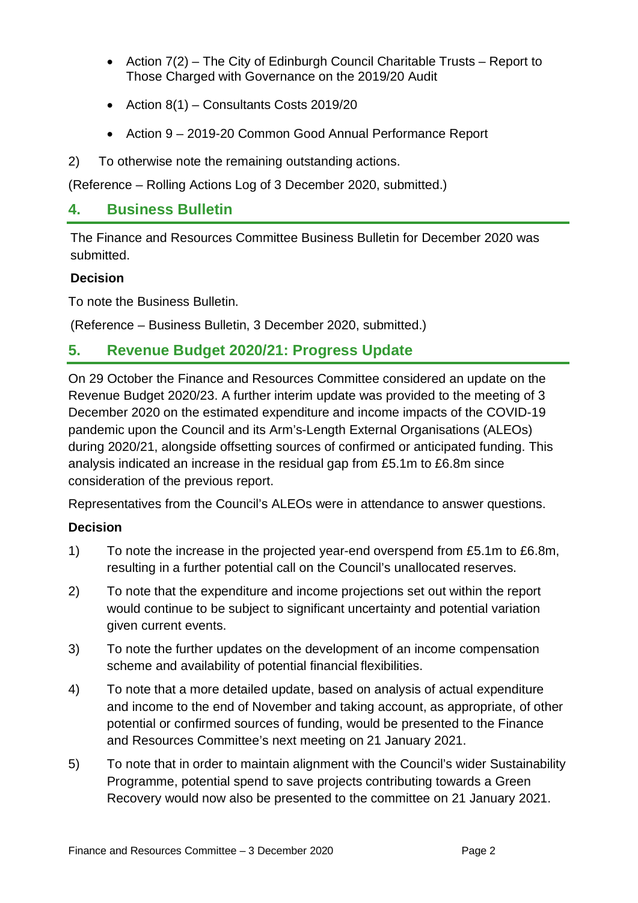- Action 7(2) The City of Edinburgh Council Charitable Trusts Report to Those Charged with Governance on the 2019/20 Audit
- Action 8(1) Consultants Costs 2019/20
- Action 9 2019-20 Common Good Annual Performance Report
- 2) To otherwise note the remaining outstanding actions.

(Reference – Rolling Actions Log of 3 December 2020, submitted.)

## **4. Business Bulletin**

The Finance and Resources Committee Business Bulletin for December 2020 was submitted.

#### **Decision**

To note the Business Bulletin.

(Reference – Business Bulletin, 3 December 2020, submitted.)

## **5. Revenue Budget 2020/21: Progress Update**

On 29 October the Finance and Resources Committee considered an update on the Revenue Budget 2020/23. A further interim update was provided to the meeting of 3 December 2020 on the estimated expenditure and income impacts of the COVID-19 pandemic upon the Council and its Arm's-Length External Organisations (ALEOs) during 2020/21, alongside offsetting sources of confirmed or anticipated funding. This analysis indicated an increase in the residual gap from £5.1m to £6.8m since consideration of the previous report.

Representatives from the Council's ALEOs were in attendance to answer questions.

- 1) To note the increase in the projected year-end overspend from £5.1m to £6.8m, resulting in a further potential call on the Council's unallocated reserves.
- 2) To note that the expenditure and income projections set out within the report would continue to be subject to significant uncertainty and potential variation given current events.
- 3) To note the further updates on the development of an income compensation scheme and availability of potential financial flexibilities.
- 4) To note that a more detailed update, based on analysis of actual expenditure and income to the end of November and taking account, as appropriate, of other potential or confirmed sources of funding, would be presented to the Finance and Resources Committee's next meeting on 21 January 2021.
- 5) To note that in order to maintain alignment with the Council's wider Sustainability Programme, potential spend to save projects contributing towards a Green Recovery would now also be presented to the committee on 21 January 2021.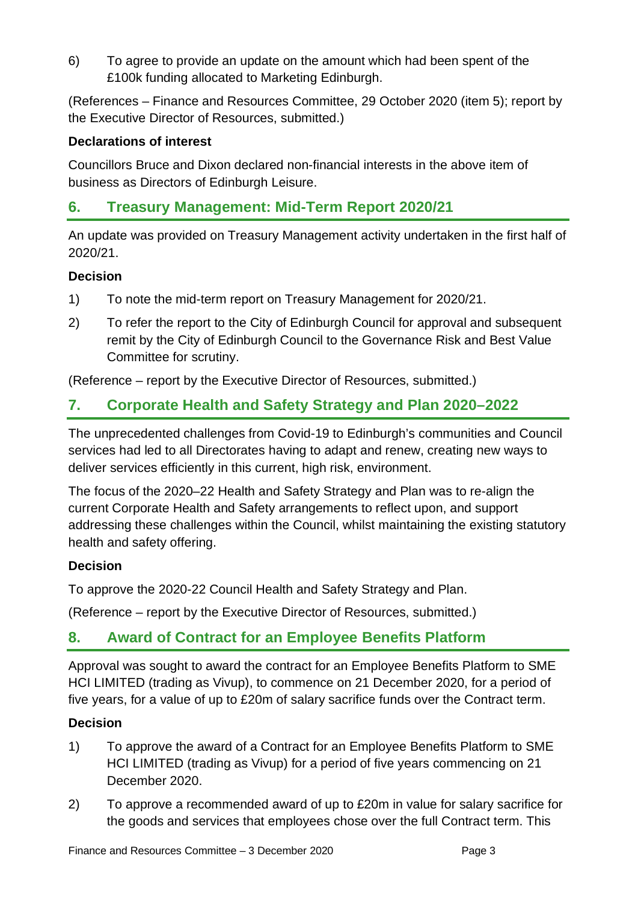6) To agree to provide an update on the amount which had been spent of the £100k funding allocated to Marketing Edinburgh.

(References – Finance and Resources Committee, 29 October 2020 (item 5); report by the Executive Director of Resources, submitted.)

#### **Declarations of interest**

Councillors Bruce and Dixon declared non-financial interests in the above item of business as Directors of Edinburgh Leisure.

## **6. Treasury Management: Mid-Term Report 2020/21**

An update was provided on Treasury Management activity undertaken in the first half of 2020/21.

#### **Decision**

- 1) To note the mid-term report on Treasury Management for 2020/21.
- 2) To refer the report to the City of Edinburgh Council for approval and subsequent remit by the City of Edinburgh Council to the Governance Risk and Best Value Committee for scrutiny.

(Reference – report by the Executive Director of Resources, submitted.)

## **7. Corporate Health and Safety Strategy and Plan 2020–2022**

The unprecedented challenges from Covid-19 to Edinburgh's communities and Council services had led to all Directorates having to adapt and renew, creating new ways to deliver services efficiently in this current, high risk, environment.

The focus of the 2020–22 Health and Safety Strategy and Plan was to re-align the current Corporate Health and Safety arrangements to reflect upon, and support addressing these challenges within the Council, whilst maintaining the existing statutory health and safety offering.

#### **Decision**

To approve the 2020-22 Council Health and Safety Strategy and Plan.

(Reference – report by the Executive Director of Resources, submitted.)

## **8. Award of Contract for an Employee Benefits Platform**

Approval was sought to award the contract for an Employee Benefits Platform to SME HCI LIMITED (trading as Vivup), to commence on 21 December 2020, for a period of five years, for a value of up to £20m of salary sacrifice funds over the Contract term.

- 1) To approve the award of a Contract for an Employee Benefits Platform to SME HCI LIMITED (trading as Vivup) for a period of five years commencing on 21 December 2020.
- 2) To approve a recommended award of up to £20m in value for salary sacrifice for the goods and services that employees chose over the full Contract term. This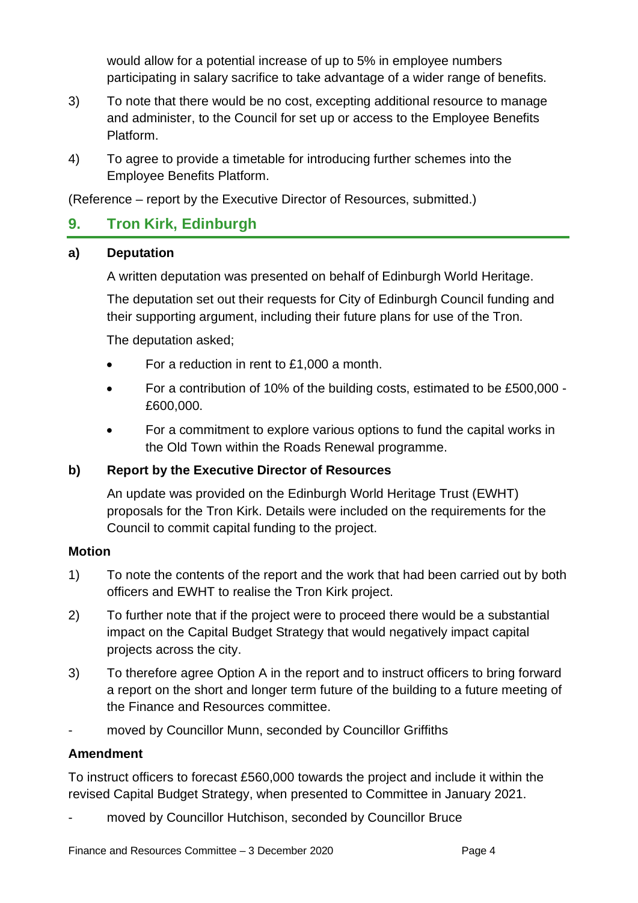would allow for a potential increase of up to 5% in employee numbers participating in salary sacrifice to take advantage of a wider range of benefits.

- 3) To note that there would be no cost, excepting additional resource to manage and administer, to the Council for set up or access to the Employee Benefits Platform.
- 4) To agree to provide a timetable for introducing further schemes into the Employee Benefits Platform.

(Reference – report by the Executive Director of Resources, submitted.)

## **9. Tron Kirk, Edinburgh**

#### **a) Deputation**

A written deputation was presented on behalf of Edinburgh World Heritage.

The deputation set out their requests for City of Edinburgh Council funding and their supporting argument, including their future plans for use of the Tron.

The deputation asked;

- For a reduction in rent to £1,000 a month.
- For a contribution of 10% of the building costs, estimated to be £500,000 £600,000.
- For a commitment to explore various options to fund the capital works in the Old Town within the Roads Renewal programme.

#### **b) Report by the Executive Director of Resources**

An update was provided on the Edinburgh World Heritage Trust (EWHT) proposals for the Tron Kirk. Details were included on the requirements for the Council to commit capital funding to the project.

#### **Motion**

- 1) To note the contents of the report and the work that had been carried out by both officers and EWHT to realise the Tron Kirk project.
- 2) To further note that if the project were to proceed there would be a substantial impact on the Capital Budget Strategy that would negatively impact capital projects across the city.
- 3) To therefore agree Option A in the report and to instruct officers to bring forward a report on the short and longer term future of the building to a future meeting of the Finance and Resources committee.
- moved by Councillor Munn, seconded by Councillor Griffiths

#### **Amendment**

To instruct officers to forecast £560,000 towards the project and include it within the revised Capital Budget Strategy, when presented to Committee in January 2021.

moved by Councillor Hutchison, seconded by Councillor Bruce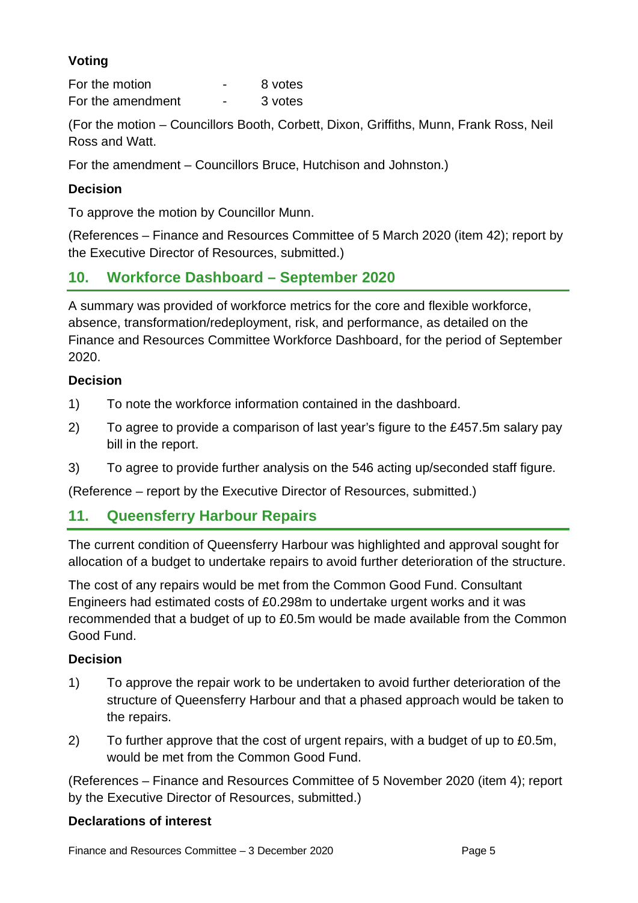### **Voting**

For the motion **For the motion For the motion** For the amendment - 3 votes

(For the motion – Councillors Booth, Corbett, Dixon, Griffiths, Munn, Frank Ross, Neil Ross and Watt.

For the amendment – Councillors Bruce, Hutchison and Johnston.)

#### **Decision**

To approve the motion by Councillor Munn.

(References – Finance and Resources Committee of 5 March 2020 (item 42); report by the Executive Director of Resources, submitted.)

## **10. Workforce Dashboard – September 2020**

A summary was provided of workforce metrics for the core and flexible workforce, absence, transformation/redeployment, risk, and performance, as detailed on the Finance and Resources Committee Workforce Dashboard, for the period of September 2020.

#### **Decision**

- 1) To note the workforce information contained in the dashboard.
- 2) To agree to provide a comparison of last year's figure to the £457.5m salary pay bill in the report.
- 3) To agree to provide further analysis on the 546 acting up/seconded staff figure.

(Reference – report by the Executive Director of Resources, submitted.)

## **11. Queensferry Harbour Repairs**

The current condition of Queensferry Harbour was highlighted and approval sought for allocation of a budget to undertake repairs to avoid further deterioration of the structure.

The cost of any repairs would be met from the Common Good Fund. Consultant Engineers had estimated costs of £0.298m to undertake urgent works and it was recommended that a budget of up to £0.5m would be made available from the Common Good Fund.

#### **Decision**

- 1) To approve the repair work to be undertaken to avoid further deterioration of the structure of Queensferry Harbour and that a phased approach would be taken to the repairs.
- 2) To further approve that the cost of urgent repairs, with a budget of up to £0.5m, would be met from the Common Good Fund.

(References – Finance and Resources Committee of 5 November 2020 (item 4); report by the Executive Director of Resources, submitted.)

#### **Declarations of interest**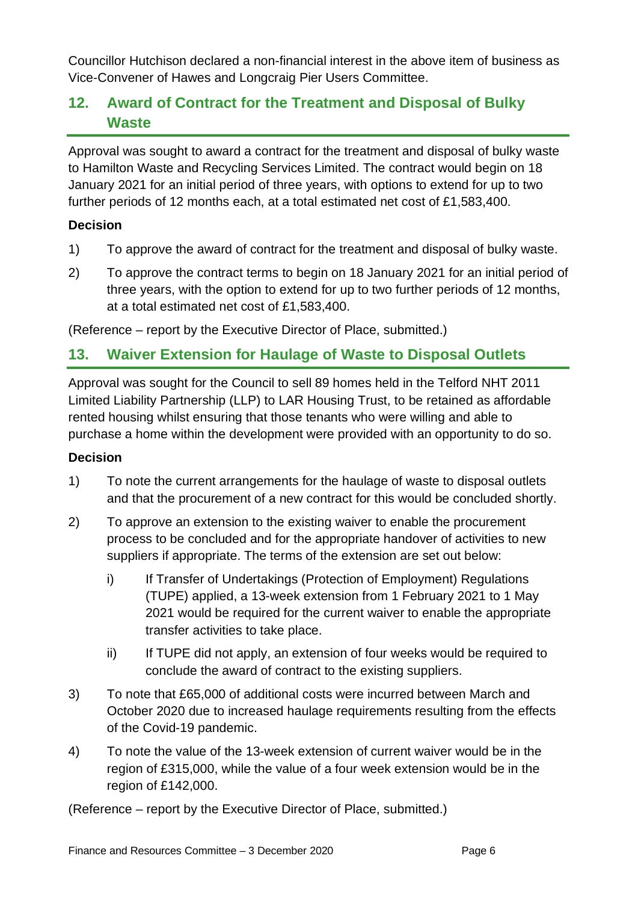Councillor Hutchison declared a non-financial interest in the above item of business as Vice-Convener of Hawes and Longcraig Pier Users Committee.

## **12. Award of Contract for the Treatment and Disposal of Bulky Waste**

Approval was sought to award a contract for the treatment and disposal of bulky waste to Hamilton Waste and Recycling Services Limited. The contract would begin on 18 January 2021 for an initial period of three years, with options to extend for up to two further periods of 12 months each, at a total estimated net cost of £1,583,400.

#### **Decision**

- 1) To approve the award of contract for the treatment and disposal of bulky waste.
- 2) To approve the contract terms to begin on 18 January 2021 for an initial period of three years, with the option to extend for up to two further periods of 12 months, at a total estimated net cost of £1,583,400.

(Reference – report by the Executive Director of Place, submitted.)

## **13. Waiver Extension for Haulage of Waste to Disposal Outlets**

Approval was sought for the Council to sell 89 homes held in the Telford NHT 2011 Limited Liability Partnership (LLP) to LAR Housing Trust, to be retained as affordable rented housing whilst ensuring that those tenants who were willing and able to purchase a home within the development were provided with an opportunity to do so.

#### **Decision**

- 1) To note the current arrangements for the haulage of waste to disposal outlets and that the procurement of a new contract for this would be concluded shortly.
- 2) To approve an extension to the existing waiver to enable the procurement process to be concluded and for the appropriate handover of activities to new suppliers if appropriate. The terms of the extension are set out below:
	- i) If Transfer of Undertakings (Protection of Employment) Regulations (TUPE) applied, a 13-week extension from 1 February 2021 to 1 May 2021 would be required for the current waiver to enable the appropriate transfer activities to take place.
	- ii) If TUPE did not apply, an extension of four weeks would be required to conclude the award of contract to the existing suppliers.
- 3) To note that £65,000 of additional costs were incurred between March and October 2020 due to increased haulage requirements resulting from the effects of the Covid-19 pandemic.
- 4) To note the value of the 13-week extension of current waiver would be in the region of £315,000, while the value of a four week extension would be in the region of £142,000.

(Reference – report by the Executive Director of Place, submitted.)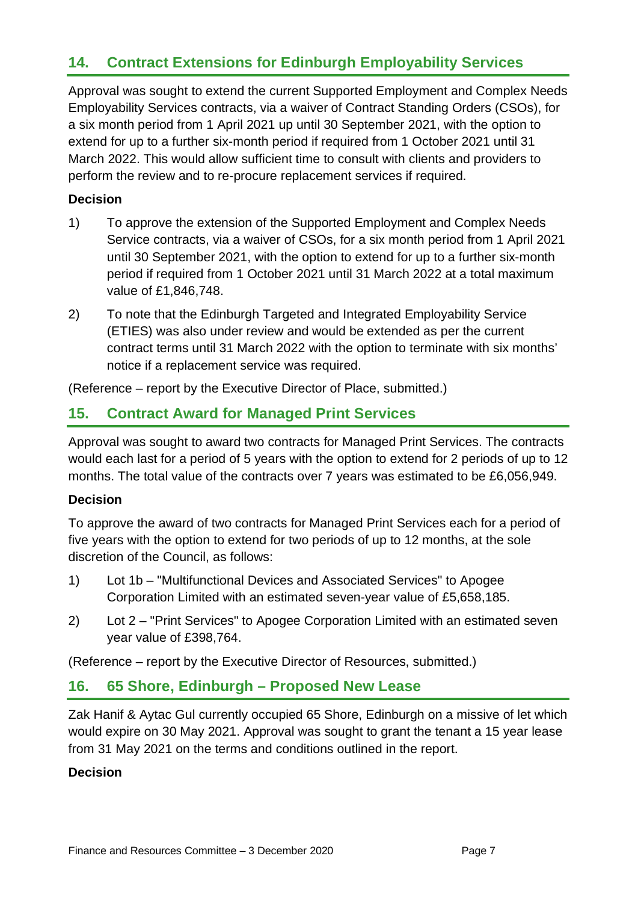## **14. Contract Extensions for Edinburgh Employability Services**

Approval was sought to extend the current Supported Employment and Complex Needs Employability Services contracts, via a waiver of Contract Standing Orders (CSOs), for a six month period from 1 April 2021 up until 30 September 2021, with the option to extend for up to a further six-month period if required from 1 October 2021 until 31 March 2022. This would allow sufficient time to consult with clients and providers to perform the review and to re-procure replacement services if required.

#### **Decision**

- 1) To approve the extension of the Supported Employment and Complex Needs Service contracts, via a waiver of CSOs, for a six month period from 1 April 2021 until 30 September 2021, with the option to extend for up to a further six-month period if required from 1 October 2021 until 31 March 2022 at a total maximum value of £1,846,748.
- 2) To note that the Edinburgh Targeted and Integrated Employability Service (ETIES) was also under review and would be extended as per the current contract terms until 31 March 2022 with the option to terminate with six months' notice if a replacement service was required.

(Reference – report by the Executive Director of Place, submitted.)

## **15. Contract Award for Managed Print Services**

Approval was sought to award two contracts for Managed Print Services. The contracts would each last for a period of 5 years with the option to extend for 2 periods of up to 12 months. The total value of the contracts over 7 years was estimated to be £6,056,949.

#### **Decision**

To approve the award of two contracts for Managed Print Services each for a period of five years with the option to extend for two periods of up to 12 months, at the sole discretion of the Council, as follows:

- 1) Lot 1b "Multifunctional Devices and Associated Services" to Apogee Corporation Limited with an estimated seven-year value of £5,658,185.
- 2) Lot 2 "Print Services" to Apogee Corporation Limited with an estimated seven year value of £398,764.

(Reference – report by the Executive Director of Resources, submitted.)

## **16. 65 Shore, Edinburgh – Proposed New Lease**

Zak Hanif & Aytac Gul currently occupied 65 Shore, Edinburgh on a missive of let which would expire on 30 May 2021. Approval was sought to grant the tenant a 15 year lease from 31 May 2021 on the terms and conditions outlined in the report.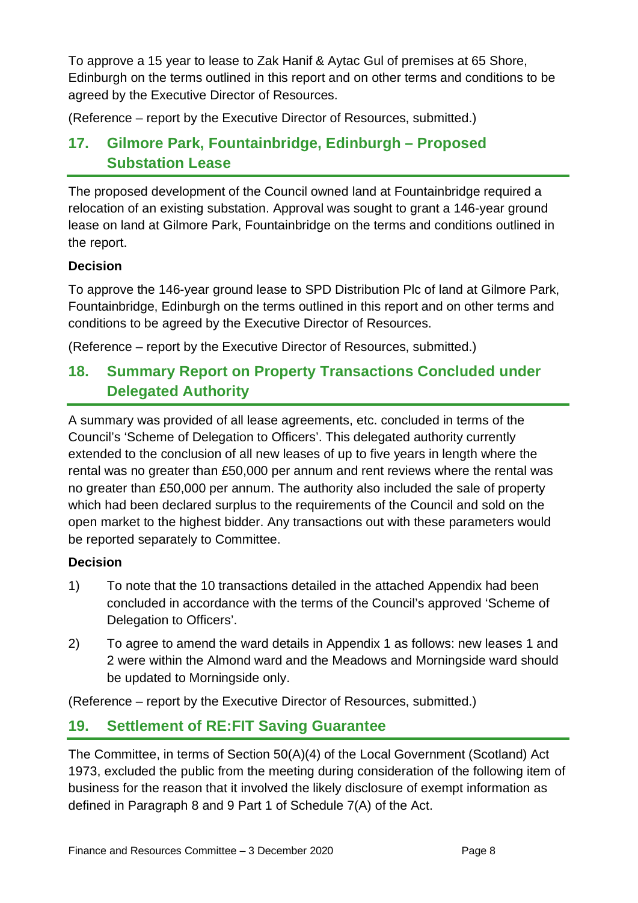To approve a 15 year to lease to Zak Hanif & Aytac Gul of premises at 65 Shore, Edinburgh on the terms outlined in this report and on other terms and conditions to be agreed by the Executive Director of Resources.

(Reference – report by the Executive Director of Resources, submitted.)

## **17. Gilmore Park, Fountainbridge, Edinburgh – Proposed Substation Lease**

The proposed development of the Council owned land at Fountainbridge required a relocation of an existing substation. Approval was sought to grant a 146-year ground lease on land at Gilmore Park, Fountainbridge on the terms and conditions outlined in the report.

#### **Decision**

To approve the 146-year ground lease to SPD Distribution Plc of land at Gilmore Park, Fountainbridge, Edinburgh on the terms outlined in this report and on other terms and conditions to be agreed by the Executive Director of Resources.

(Reference – report by the Executive Director of Resources, submitted.)

## **18. Summary Report on Property Transactions Concluded under Delegated Authority**

A summary was provided of all lease agreements, etc. concluded in terms of the Council's 'Scheme of Delegation to Officers'. This delegated authority currently extended to the conclusion of all new leases of up to five years in length where the rental was no greater than £50,000 per annum and rent reviews where the rental was no greater than £50,000 per annum. The authority also included the sale of property which had been declared surplus to the requirements of the Council and sold on the open market to the highest bidder. Any transactions out with these parameters would be reported separately to Committee.

#### **Decision**

- 1) To note that the 10 transactions detailed in the attached Appendix had been concluded in accordance with the terms of the Council's approved 'Scheme of Delegation to Officers'.
- 2) To agree to amend the ward details in Appendix 1 as follows: new leases 1 and 2 were within the Almond ward and the Meadows and Morningside ward should be updated to Morningside only.

(Reference – report by the Executive Director of Resources, submitted.)

## **19. Settlement of RE:FIT Saving Guarantee**

The Committee, in terms of Section 50(A)(4) of the Local Government (Scotland) Act 1973, excluded the public from the meeting during consideration of the following item of business for the reason that it involved the likely disclosure of exempt information as defined in Paragraph 8 and 9 Part 1 of Schedule 7(A) of the Act.